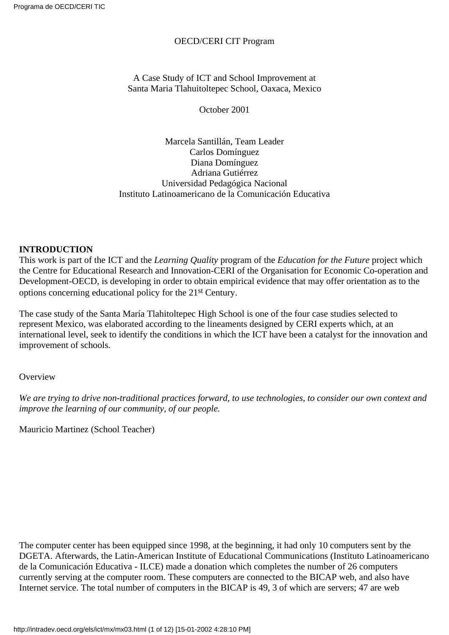#### OECD/CERI CIT Program

A Case Study of ICT and School Improvement at Santa Maria Tlahuitoltepec School, Oaxaca, Mexico

October 2001

Marcela Santillán, Team Leader Carlos Domínguez Diana Domínguez Adriana Gutiérrez Universidad Pedagógica Nacional Instituto Latinoamericano de la Comunicación Educativa

#### **INTRODUCTION**

This work is part of the ICT and the *Learning Quality* program of the *Education for the Future* project which the Centre for Educational Research and Innovation-CERI of the Organisation for Economic Co-operation and Development-OECD, is developing in order to obtain empirical evidence that may offer orientation as to the options concerning educational policy for the 21st Century.

The case study of the Santa María Tlahitoltepec High School is one of the four case studies selected to represent Mexico, was elaborated according to the lineaments designed by CERI experts which, at an international level, seek to identify the conditions in which the ICT have been a catalyst for the innovation and improvement of schools.

**Overview** 

*We are trying to drive non-traditional practices forward, to use technologies, to consider our own context and improve the learning of our community, of our people.*

Mauricio Martinez (School Teacher)

The computer center has been equipped since 1998, at the beginning, it had only 10 computers sent by the DGETA. Afterwards, the Latin-American Institute of Educational Communications (Instituto Latinoamericano de la Comunicación Educativa - ILCE) made a donation which completes the number of 26 computers currently serving at the computer room. These computers are connected to the BICAP web, and also have Internet service. The total number of computers in the BICAP is 49, 3 of which are servers; 47 are web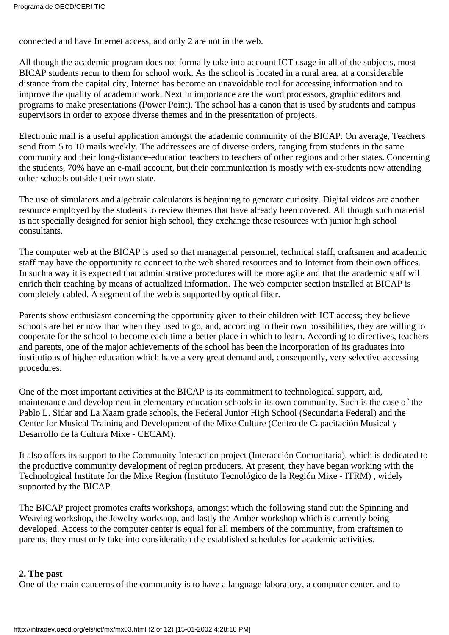connected and have Internet access, and only 2 are not in the web.

All though the academic program does not formally take into account ICT usage in all of the subjects, most BICAP students recur to them for school work. As the school is located in a rural area, at a considerable distance from the capital city, Internet has become an unavoidable tool for accessing information and to improve the quality of academic work. Next in importance are the word processors, graphic editors and programs to make presentations (Power Point). The school has a canon that is used by students and campus supervisors in order to expose diverse themes and in the presentation of projects.

Electronic mail is a useful application amongst the academic community of the BICAP. On average, Teachers send from 5 to 10 mails weekly. The addressees are of diverse orders, ranging from students in the same community and their long-distance-education teachers to teachers of other regions and other states. Concerning the students, 70% have an e-mail account, but their communication is mostly with ex-students now attending other schools outside their own state.

The use of simulators and algebraic calculators is beginning to generate curiosity. Digital videos are another resource employed by the students to review themes that have already been covered. All though such material is not specially designed for senior high school, they exchange these resources with junior high school consultants.

The computer web at the BICAP is used so that managerial personnel, technical staff, craftsmen and academic staff may have the opportunity to connect to the web shared resources and to Internet from their own offices. In such a way it is expected that administrative procedures will be more agile and that the academic staff will enrich their teaching by means of actualized information. The web computer section installed at BICAP is completely cabled. A segment of the web is supported by optical fiber.

Parents show enthusiasm concerning the opportunity given to their children with ICT access; they believe schools are better now than when they used to go, and, according to their own possibilities, they are willing to cooperate for the school to become each time a better place in which to learn. According to directives, teachers and parents, one of the major achievements of the school has been the incorporation of its graduates into institutions of higher education which have a very great demand and, consequently, very selective accessing procedures.

One of the most important activities at the BICAP is its commitment to technological support, aid, maintenance and development in elementary education schools in its own community. Such is the case of the Pablo L. Sidar and La Xaam grade schools, the Federal Junior High School (Secundaria Federal) and the Center for Musical Training and Development of the Mixe Culture (Centro de Capacitación Musical y Desarrollo de la Cultura Mixe - CECAM).

It also offers its support to the Community Interaction project (Interacción Comunitaria), which is dedicated to the productive community development of region producers. At present, they have began working with the Technological Institute for the Mixe Region (Instituto Tecnológico de la Región Mixe - ITRM) , widely supported by the BICAP.

The BICAP project promotes crafts workshops, amongst which the following stand out: the Spinning and Weaving workshop, the Jewelry workshop, and lastly the Amber workshop which is currently being developed. Access to the computer center is equal for all members of the community, from craftsmen to parents, they must only take into consideration the established schedules for academic activities.

#### **2. The past**

One of the main concerns of the community is to have a language laboratory, a computer center, and to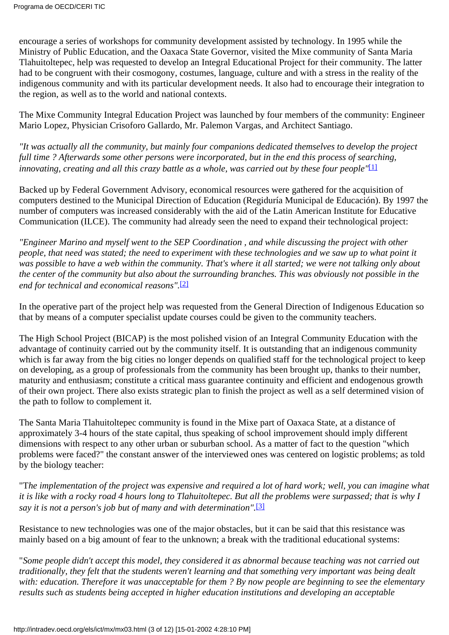encourage a series of workshops for community development assisted by technology. In 1995 while the Ministry of Public Education, and the Oaxaca State Governor, visited the Mixe community of Santa Maria Tlahuitoltepec, help was requested to develop an Integral Educational Project for their community. The latter had to be congruent with their cosmogony, costumes, language, culture and with a stress in the reality of the indigenous community and with its particular development needs. It also had to encourage their integration to the region, as well as to the world and national contexts.

The Mixe Community Integral Education Project was launched by four members of the community: Engineer Mario Lopez, Physician Crisoforo Gallardo, Mr. Palemon Vargas, and Architect Santiago.

<span id="page-2-0"></span>*"It was actually all the community, but mainly four companions dedicated themselves to develop the project full time ? Afterwards some other persons were incorporated, but in the end this process of searching, innovating, creating and all this crazy battle as a whole, was carried out by these four people"*[\[1\]](#page-11-0)

Backed up by Federal Government Advisory, economical resources were gathered for the acquisition of computers destined to the Municipal Direction of Education (Regiduría Municipal de Educación). By 1997 the number of computers was increased considerably with the aid of the Latin American Institute for Educative Communication (ILCE). The community had already seen the need to expand their technological project:

*"Engineer Marino and myself went to the SEP Coordination , and while discussing the project with other people, that need was stated; the need to experiment with these technologies and we saw up to what point it was possible to have a web within the community. That's where it all started; we were not talking only about the center of the community but also about the surrounding branches. This was obviously not possible in the end for technical and economical reasons".*[\[2\]](#page-11-1)

<span id="page-2-1"></span>In the operative part of the project help was requested from the General Direction of Indigenous Education so that by means of a computer specialist update courses could be given to the community teachers.

The High School Project (BICAP) is the most polished vision of an Integral Community Education with the advantage of continuity carried out by the community itself. It is outstanding that an indigenous community which is far away from the big cities no longer depends on qualified staff for the technological project to keep on developing, as a group of professionals from the community has been brought up, thanks to their number, maturity and enthusiasm; constitute a critical mass guarantee continuity and efficient and endogenous growth of their own project. There also exists strategic plan to finish the project as well as a self determined vision of the path to follow to complement it.

The Santa Maria Tlahuitoltepec community is found in the Mixe part of Oaxaca State, at a distance of approximately 3-4 hours of the state capital, thus speaking of school improvement should imply different dimensions with respect to any other urban or suburban school. As a matter of fact to the question "which problems were faced?" the constant answer of the interviewed ones was centered on logistic problems; as told by the biology teacher:

<span id="page-2-2"></span>"T*he implementation of the project was expensive and required a lot of hard work; well, you can imagine what it is like with a rocky road 4 hours long to Tlahuitoltepec. But all the problems were surpassed; that is why I say it is not a person's job but of many and with determination".*[\[3\]](#page-11-2)

Resistance to new technologies was one of the major obstacles, but it can be said that this resistance was mainly based on a big amount of fear to the unknown; a break with the traditional educational systems:

"*Some people didn't accept this model, they considered it as abnormal because teaching was not carried out traditionally, they felt that the students weren't learning and that something very important was being dealt with: education. Therefore it was unacceptable for them ? By now people are beginning to see the elementary results such as students being accepted in higher education institutions and developing an acceptable*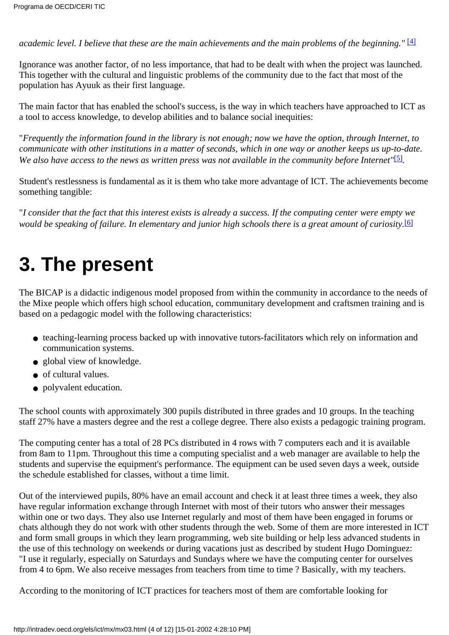<span id="page-3-0"></span>*academic level. I believe that these are the main achievements and the main problems of the beginning."* [\[4\]](#page-11-3)

Ignorance was another factor, of no less importance, that had to be dealt with when the project was launched. This together with the cultural and linguistic problems of the community due to the fact that most of the population has Ayuuk as their first language.

The main factor that has enabled the school's success, is the way in which teachers have approached to ICT as a tool to access knowledge, to develop abilities and to balance social inequities:

"*Frequently the information found in the library is not enough; now we have the option, through Internet, to communicate with other institutions in a matter of seconds, which in one way or another keeps us up-to-date. We also have access to the news as written press was not available in the community before Internet"*[\[5\]](#page-11-4)*.*

<span id="page-3-1"></span>Student's restlessness is fundamental as it is them who take more advantage of ICT. The achievements become something tangible:

<span id="page-3-2"></span>"*I consider that the fact that this interest exists is already a success. If the computing center were empty we would be speaking of failure. In elementary and junior high schools there is a great amount of curiosity.*[\[6\]](#page-11-5)

# **3. The present**

The BICAP is a didactic indigenous model proposed from within the community in accordance to the needs of the Mixe people which offers high school education, communitary development and craftsmen training and is based on a pedagogic model with the following characteristics:

- teaching-learning process backed up with innovative tutors-facilitators which rely on information and communication systems.
- global view of knowledge.
- of cultural values.
- polyvalent education.

The school counts with approximately 300 pupils distributed in three grades and 10 groups. In the teaching staff 27% have a masters degree and the rest a college degree. There also exists a pedagogic training program.

The computing center has a total of 28 PCs distributed in 4 rows with 7 computers each and it is available from 8am to 11pm. Throughout this time a computing specialist and a web manager are available to help the students and supervise the equipment's performance. The equipment can be used seven days a week, outside the schedule established for classes, without a time limit.

Out of the interviewed pupils, 80% have an email account and check it at least three times a week, they also have regular information exchange through Internet with most of their tutors who answer their messages within one or two days. They also use Internet regularly and most of them have been engaged in forums or chats although they do not work with other students through the web. Some of them are more interested in ICT and form small groups in which they learn programming, web site building or help less advanced students in the use of this technology on weekends or during vacations just as described by student Hugo Dominguez: "I use it regularly, especially on Saturdays and Sundays where we have the computing center for ourselves from 4 to 6pm. We also receive messages from teachers from time to time ? Basically, with my teachers.

According to the monitoring of ICT practices for teachers most of them are comfortable looking for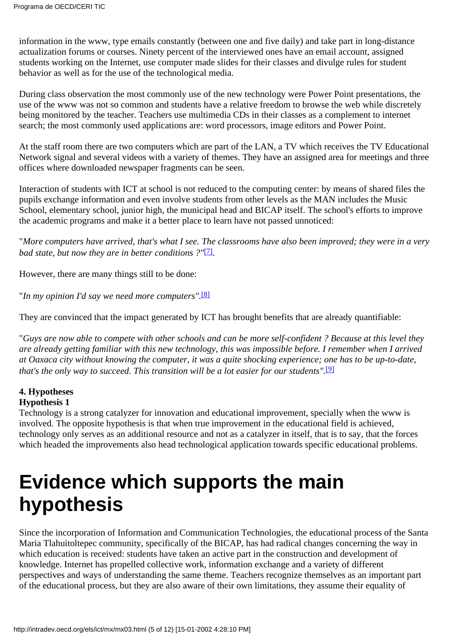information in the www, type emails constantly (between one and five daily) and take part in long-distance actualization forums or courses. Ninety percent of the interviewed ones have an email account, assigned students working on the Internet, use computer made slides for their classes and divulge rules for student behavior as well as for the use of the technological media.

During class observation the most commonly use of the new technology were Power Point presentations, the use of the www was not so common and students have a relative freedom to browse the web while discretely being monitored by the teacher. Teachers use multimedia CDs in their classes as a complement to internet search; the most commonly used applications are: word processors, image editors and Power Point.

At the staff room there are two computers which are part of the LAN, a TV which receives the TV Educational Network signal and several videos with a variety of themes. They have an assigned area for meetings and three offices where downloaded newspaper fragments can be seen.

Interaction of students with ICT at school is not reduced to the computing center: by means of shared files the pupils exchange information and even involve students from other levels as the MAN includes the Music School, elementary school, junior high, the municipal head and BICAP itself. The school's efforts to improve the academic programs and make it a better place to learn have not passed unnoticed:

<span id="page-4-0"></span>"*More computers have arrived, that's what I see. The classrooms have also been improved; they were in a very bad state, but now they are in better conditions ?"*[\[7\].](#page-11-6)

However, there are many things still to be done:

<span id="page-4-1"></span>"*In my opinion I'd say we need more computers".*[\[8\]](#page-11-7)

They are convinced that the impact generated by ICT has brought benefits that are already quantifiable:

"*Guys are now able to compete with other schools and can be more self-confident ? Because at this level they are already getting familiar with this new technology, this was impossible before. I remember when I arrived at Oaxaca city without knowing the computer, it was a quite shocking experience; one has to be up-to-date, that's the only way to succeed. This transition will be a lot easier for our students".*[\[9\]](#page-11-8)

### <span id="page-4-2"></span>**4. Hypotheses**

#### **Hypothesis 1**

Technology is a strong catalyzer for innovation and educational improvement, specially when the www is involved. The opposite hypothesis is that when true improvement in the educational field is achieved, technology only serves as an additional resource and not as a catalyzer in itself, that is to say, that the forces which headed the improvements also head technological application towards specific educational problems.

## **Evidence which supports the main hypothesis**

Since the incorporation of Information and Communication Technologies, the educational process of the Santa Maria Tlahuitoltepec community, specifically of the BICAP, has had radical changes concerning the way in which education is received: students have taken an active part in the construction and development of knowledge. Internet has propelled collective work, information exchange and a variety of different perspectives and ways of understanding the same theme. Teachers recognize themselves as an important part of the educational process, but they are also aware of their own limitations, they assume their equality of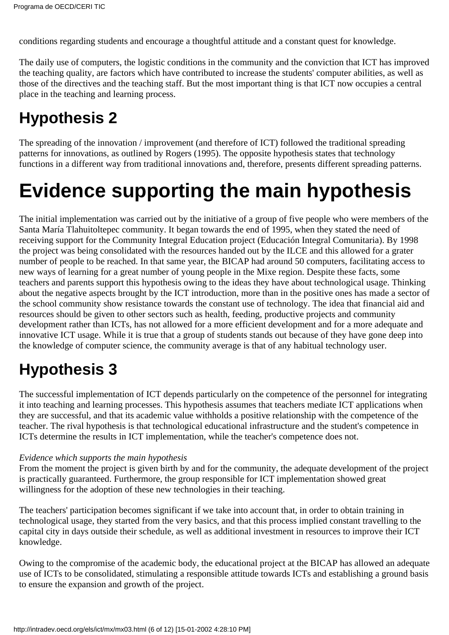conditions regarding students and encourage a thoughtful attitude and a constant quest for knowledge.

The daily use of computers, the logistic conditions in the community and the conviction that ICT has improved the teaching quality, are factors which have contributed to increase the students' computer abilities, as well as those of the directives and the teaching staff. But the most important thing is that ICT now occupies a central place in the teaching and learning process.

## **Hypothesis 2**

The spreading of the innovation / improvement (and therefore of ICT) followed the traditional spreading patterns for innovations, as outlined by Rogers (1995). The opposite hypothesis states that technology functions in a different way from traditional innovations and, therefore, presents different spreading patterns.

## **Evidence supporting the main hypothesis**

The initial implementation was carried out by the initiative of a group of five people who were members of the Santa María Tlahuitoltepec community. It began towards the end of 1995, when they stated the need of receiving support for the Community Integral Education project (Educación Integral Comunitaria). By 1998 the project was being consolidated with the resources handed out by the ILCE and this allowed for a grater number of people to be reached. In that same year, the BICAP had around 50 computers, facilitating access to new ways of learning for a great number of young people in the Mixe region. Despite these facts, some teachers and parents support this hypothesis owing to the ideas they have about technological usage. Thinking about the negative aspects brought by the ICT introduction, more than in the positive ones has made a sector of the school community show resistance towards the constant use of technology. The idea that financial aid and resources should be given to other sectors such as health, feeding, productive projects and community development rather than ICTs, has not allowed for a more efficient development and for a more adequate and innovative ICT usage. While it is true that a group of students stands out because of they have gone deep into the knowledge of computer science, the community average is that of any habitual technology user.

## **Hypothesis 3**

The successful implementation of ICT depends particularly on the competence of the personnel for integrating it into teaching and learning processes. This hypothesis assumes that teachers mediate ICT applications when they are successful, and that its academic value withholds a positive relationship with the competence of the teacher. The rival hypothesis is that technological educational infrastructure and the student's competence in ICTs determine the results in ICT implementation, while the teacher's competence does not.

#### *Evidence which supports the main hypothesis*

From the moment the project is given birth by and for the community, the adequate development of the project is practically guaranteed. Furthermore, the group responsible for ICT implementation showed great willingness for the adoption of these new technologies in their teaching.

The teachers' participation becomes significant if we take into account that, in order to obtain training in technological usage, they started from the very basics, and that this process implied constant travelling to the capital city in days outside their schedule, as well as additional investment in resources to improve their ICT knowledge.

Owing to the compromise of the academic body, the educational project at the BICAP has allowed an adequate use of ICTs to be consolidated, stimulating a responsible attitude towards ICTs and establishing a ground basis to ensure the expansion and growth of the project.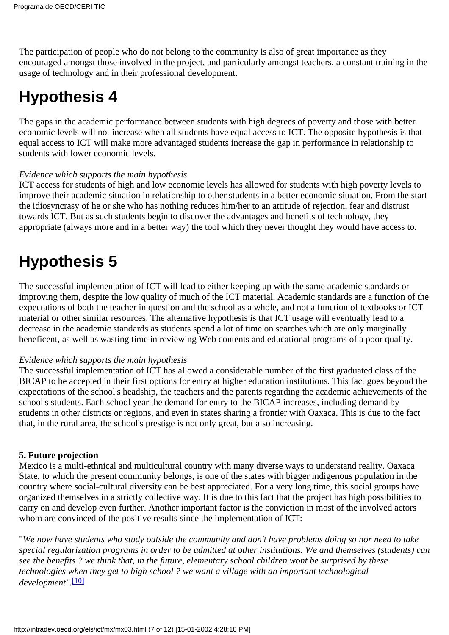The participation of people who do not belong to the community is also of great importance as they encouraged amongst those involved in the project, and particularly amongst teachers, a constant training in the usage of technology and in their professional development.

### **Hypothesis 4**

The gaps in the academic performance between students with high degrees of poverty and those with better economic levels will not increase when all students have equal access to ICT. The opposite hypothesis is that equal access to ICT will make more advantaged students increase the gap in performance in relationship to students with lower economic levels.

#### *Evidence which supports the main hypothesis*

ICT access for students of high and low economic levels has allowed for students with high poverty levels to improve their academic situation in relationship to other students in a better economic situation. From the start the idiosyncrasy of he or she who has nothing reduces him/her to an attitude of rejection, fear and distrust towards ICT. But as such students begin to discover the advantages and benefits of technology, they appropriate (always more and in a better way) the tool which they never thought they would have access to.

## **Hypothesis 5**

The successful implementation of ICT will lead to either keeping up with the same academic standards or improving them, despite the low quality of much of the ICT material. Academic standards are a function of the expectations of both the teacher in question and the school as a whole, and not a function of textbooks or ICT material or other similar resources. The alternative hypothesis is that ICT usage will eventually lead to a decrease in the academic standards as students spend a lot of time on searches which are only marginally beneficent, as well as wasting time in reviewing Web contents and educational programs of a poor quality.

#### *Evidence which supports the main hypothesis*

The successful implementation of ICT has allowed a considerable number of the first graduated class of the BICAP to be accepted in their first options for entry at higher education institutions. This fact goes beyond the expectations of the school's headship, the teachers and the parents regarding the academic achievements of the school's students. Each school year the demand for entry to the BICAP increases, including demand by students in other districts or regions, and even in states sharing a frontier with Oaxaca. This is due to the fact that, in the rural area, the school's prestige is not only great, but also increasing.

#### **5. Future projection**

Mexico is a multi-ethnical and multicultural country with many diverse ways to understand reality. Oaxaca State, to which the present community belongs, is one of the states with bigger indigenous population in the country where social-cultural diversity can be best appreciated. For a very long time, this social groups have organized themselves in a strictly collective way. It is due to this fact that the project has high possibilities to carry on and develop even further. Another important factor is the conviction in most of the involved actors whom are convinced of the positive results since the implementation of ICT:

<span id="page-6-0"></span>"*We now have students who study outside the community and don't have problems doing so nor need to take special regularization programs in order to be admitted at other institutions. We and themselves (students) can see the benefits ? we think that, in the future, elementary school children wont be surprised by these technologies when they get to high school ? we want a village with an important technological development".*[\[10\]](#page-11-9)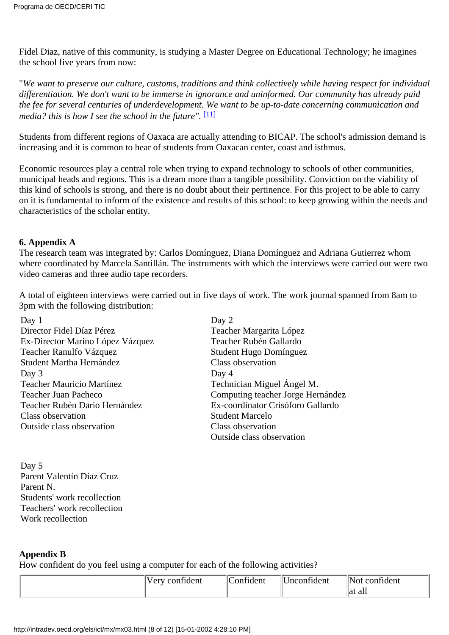Fidel Diaz, native of this community, is studying a Master Degree on Educational Technology; he imagines the school five years from now:

"*We want to preserve our culture, customs, traditions and think collectively while having respect for individual differentiation. We don't want to be immerse in ignorance and uninformed. Our community has already paid the fee for several centuries of underdevelopment. We want to be up-to-date concerning communication and media? this is how I see the school in the future".*  $[11]$ 

<span id="page-7-0"></span>Students from different regions of Oaxaca are actually attending to BICAP. The school's admission demand is increasing and it is common to hear of students from Oaxacan center, coast and isthmus.

Economic resources play a central role when trying to expand technology to schools of other communities, municipal heads and regions. This is a dream more than a tangible possibility. Conviction on the viability of this kind of schools is strong, and there is no doubt about their pertinence. For this project to be able to carry on it is fundamental to inform of the existence and results of this school: to keep growing within the needs and characteristics of the scholar entity.

#### **6. Appendix A**

The research team was integrated by: Carlos Domínguez, Diana Domínguez and Adriana Gutierrez whom where coordinated by Marcela Santillán. The instruments with which the interviews were carried out were two video cameras and three audio tape recorders.

A total of eighteen interviews were carried out in five days of work. The work journal spanned from 8am to 3pm with the following distribution:

| Day $1$                          | Day 2                             |
|----------------------------------|-----------------------------------|
| Director Fidel Díaz Pérez        | Teacher Margarita López           |
| Ex-Director Marino López Vázquez | Teacher Rubén Gallardo            |
| Teacher Ranulfo Vázquez          | Student Hugo Domínguez            |
| Student Martha Hernández         | Class observation                 |
| Day 3                            | Day 4                             |
| Teacher Mauricio Martínez        | Technician Miguel Ángel M.        |
| Teacher Juan Pacheco             | Computing teacher Jorge Hernández |
| Teacher Rubén Dario Hernández    | Ex-coordinator Crisóforo Gallardo |
| Class observation                | <b>Student Marcelo</b>            |
| Outside class observation        | Class observation                 |
|                                  | Outside class observation         |

Day 5 Parent Valentín Díaz Cruz Parent N. Students' work recollection Teachers' work recollection Work recollection

#### **Appendix B**

How confident do you feel using a computer for each of the following activities?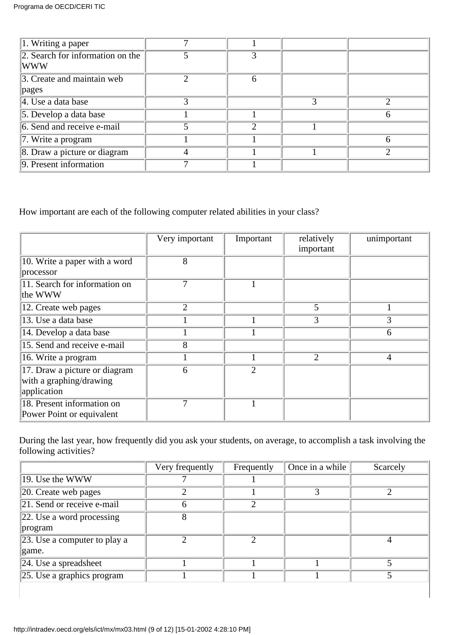| $\sqrt{1}$ . Writing a paper                       |   |                   |   |  |
|----------------------------------------------------|---|-------------------|---|--|
| $\sqrt{2}$ . Search for information on the<br> WWW |   |                   |   |  |
| 3. Create and maintain web                         |   | $\mathsf{\Omega}$ |   |  |
| pages                                              |   |                   |   |  |
| $\vert 4$ . Use a data base                        | 3 |                   | 3 |  |
| $\vert$ 5. Develop a data base                     |   |                   |   |  |
| 6. Send and receive e-mail                         |   | ∍                 |   |  |
| $\vert$ 7. Write a program                         |   |                   |   |  |
| 8. Draw a picture or diagram                       |   |                   |   |  |
| 9. Present information                             |   |                   |   |  |

How important are each of the following computer related abilities in your class?

|                                                                         | Very important | Important      | relatively<br>important | unimportant    |
|-------------------------------------------------------------------------|----------------|----------------|-------------------------|----------------|
| 10. Write a paper with a word<br>processor                              | 8              |                |                         |                |
| 11. Search for information on<br>the WWW                                | 7              |                |                         |                |
| 12. Create web pages                                                    | $\overline{2}$ |                | 5                       |                |
| 13. Use a data base                                                     |                |                | 3                       | 3              |
| 14. Develop a data base                                                 |                |                |                         | 6              |
| 15. Send and receive e-mail                                             | 8              |                |                         |                |
| 16. Write a program                                                     |                |                | $\overline{2}$          | $\overline{4}$ |
| 17. Draw a picture or diagram<br>with a graphing/drawing<br>application | 6              | $\overline{2}$ |                         |                |
| 18. Present information on<br>Power Point or equivalent                 | 7              |                |                         |                |

During the last year, how frequently did you ask your students, on average, to accomplish a task involving the following activities?

|                                      | Very frequently | Frequently                  | Once in a while | Scarcely |
|--------------------------------------|-----------------|-----------------------------|-----------------|----------|
| 19. Use the WWW                      |                 |                             |                 |          |
| $\vert$ 20. Create web pages         | ◠               |                             |                 |          |
| 21. Send or receive e-mail           | h               | $\mathcal{D}_{\mathcal{L}}$ |                 |          |
| $\vert$ 22. Use a word processing    | 8               |                             |                 |          |
| program                              |                 |                             |                 |          |
| $\vert$ 23. Use a computer to play a |                 | っ                           |                 |          |
| game.                                |                 |                             |                 |          |
| $24.$ Use a spreadsheet              |                 |                             |                 |          |
| $\sqrt{25}$ . Use a graphics program |                 |                             |                 |          |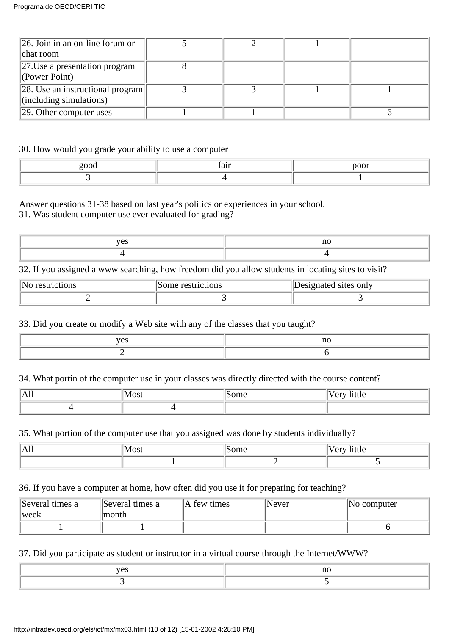| $\ 26$ . Join in an on-line forum or<br>chat room                           |  |  |
|-----------------------------------------------------------------------------|--|--|
| $\left 27.\right$ Use a presentation program<br>$\sqrt{\text{Power Point}}$ |  |  |
| $\ 28.$ Use an instructional program<br>$\left\ $ (including simulations)   |  |  |
| $\vert$ 29. Other computer uses                                             |  |  |

#### 30. How would you grade your ability to use a computer

| $- - - - -$ | നറ~ |
|-------------|-----|
|             |     |

Answer questions 31-38 based on last year's politics or experiences in your school.

31. Was student computer use ever evaluated for grading?

| . | $\sim$ |
|---|--------|
|   |        |

32. If you assigned a www searching, how freedom did you allow students in locating sites to visit?

| 'N<br>днонг | restrictions<br>some i | Designated sites only |
|-------------|------------------------|-----------------------|
|             |                        |                       |

33. Did you create or modify a Web site with any of the classes that you taught?

| . |  |
|---|--|
|   |  |

34. What portin of the computer use in your classes was directly directed with the course content?

| $\overline{\phantom{a}}$<br>$\overline{ }$<br>17. YTT |  |  |
|-------------------------------------------------------|--|--|
|                                                       |  |  |

35. What portion of the computer use that you assigned was done by students individually?

| All | 'Most | ົ້<br>,,,,, | $\bullet$<br>$\sim$ $\sim$ $\sim$<br>THUIC<br>U |
|-----|-------|-------------|-------------------------------------------------|
|     |       |             |                                                 |

36. If you have a computer at home, how often did you use it for preparing for teaching?

| Several times a<br>$ $ week | Several times a<br>month | A few times | Never | No computer |
|-----------------------------|--------------------------|-------------|-------|-------------|
|                             |                          |             |       |             |

37. Did you participate as student or instructor in a virtual course through the Internet/WWW?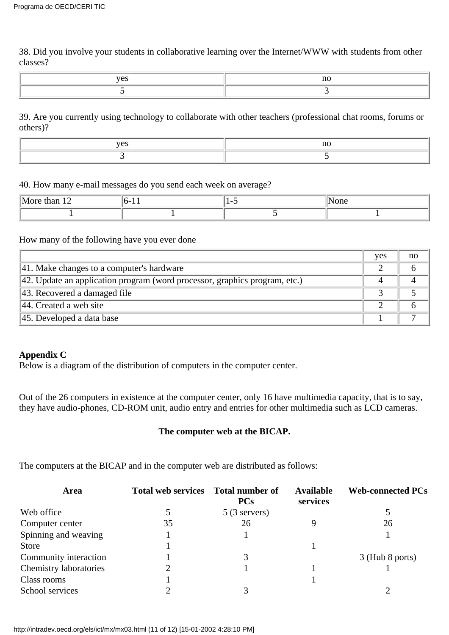38. Did you involve your students in collaborative learning over the Internet/WWW with students from other classes?

| $ -$ | $\sim$ |
|------|--------|
|      |        |

39. Are you currently using technology to collaborate with other teachers (professional chat rooms, forums or others)?

| . |  |
|---|--|
|   |  |

40. How many e-mail messages do you send each week on average?

| $\mathbf{L}$<br>$\sim$<br>чия.<br>. . | .<br>. . | 'one |
|---------------------------------------|----------|------|
|                                       |          |      |

#### How many of the following have you ever done

|                                                                                        | yes | no |
|----------------------------------------------------------------------------------------|-----|----|
| 41. Make changes to a computer's hardware                                              |     |    |
| $\parallel$ 42. Update an application program (word processor, graphics program, etc.) |     |    |
| $\parallel$ 43. Recovered a damaged file                                               |     |    |
| $\vert$ 44. Created a web site                                                         |     |    |
| $\parallel$ 45. Developed a data base                                                  |     |    |

#### **Appendix C**

Below is a diagram of the distribution of computers in the computer center.

Out of the 26 computers in existence at the computer center, only 16 have multimedia capacity, that is to say, they have audio-phones, CD-ROM unit, audio entry and entries for other multimedia such as LCD cameras.

#### **The computer web at the BICAP.**

The computers at the BICAP and in the computer web are distributed as follows:

| Area                   | <b>Total web services</b> | Total number of<br><b>PCs</b> | <b>Available</b><br>services | <b>Web-connected PCs</b> |
|------------------------|---------------------------|-------------------------------|------------------------------|--------------------------|
| Web office             |                           | $5(3$ servers)                |                              |                          |
| Computer center        | 35                        | 26                            |                              | 26                       |
| Spinning and weaving   |                           |                               |                              |                          |
| <b>Store</b>           |                           |                               |                              |                          |
| Community interaction  |                           |                               |                              | $3$ (Hub 8 ports)        |
| Chemistry laboratories |                           |                               |                              |                          |
| Class rooms            |                           |                               |                              |                          |
| School services        |                           |                               |                              |                          |